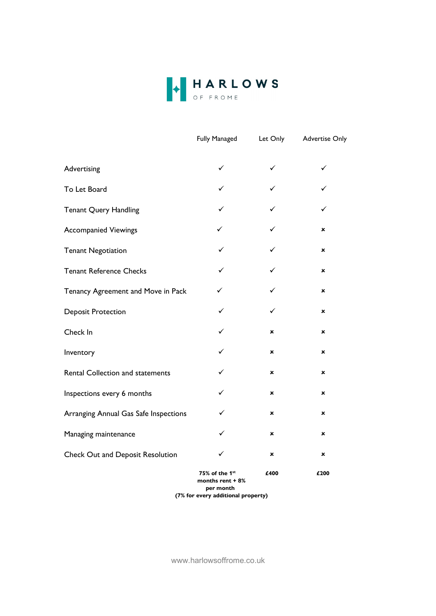

|                                       | <b>Fully Managed</b>                           | Let Only                  | <b>Advertise Only</b> |
|---------------------------------------|------------------------------------------------|---------------------------|-----------------------|
| Advertising                           | ✓                                              | $\checkmark$              | $\checkmark$          |
| To Let Board                          | ✓                                              |                           |                       |
| <b>Tenant Query Handling</b>          | ✓                                              |                           | ✓                     |
| <b>Accompanied Viewings</b>           | ✓                                              |                           | ×                     |
| <b>Tenant Negotiation</b>             | ✓                                              | ✓                         | ×                     |
| <b>Tenant Reference Checks</b>        | ✓                                              | ✓                         | ×                     |
| Tenancy Agreement and Move in Pack    | ✓                                              |                           | ×                     |
| <b>Deposit Protection</b>             | ✓                                              | ✓                         | ×                     |
| Check In                              | ✓                                              | $\boldsymbol{\mathsf{x}}$ | ×                     |
| Inventory                             | ✓                                              | ×                         | ×                     |
| Rental Collection and statements      | ✓                                              | ×                         | ×                     |
| Inspections every 6 months            | ✓                                              | ×                         | ×                     |
| Arranging Annual Gas Safe Inspections | ✓                                              | $\mathbf x$               | ×                     |
| Managing maintenance                  | ✓                                              | ×                         | ×                     |
| Check Out and Deposit Resolution      | ✓                                              | ×                         | ×                     |
|                                       | 75% of the 1 <sup>st</sup><br>months rent + 8% | £400                      | £200                  |

 per month (7% for every additional property)

www.harlowsoffrome.co.uk